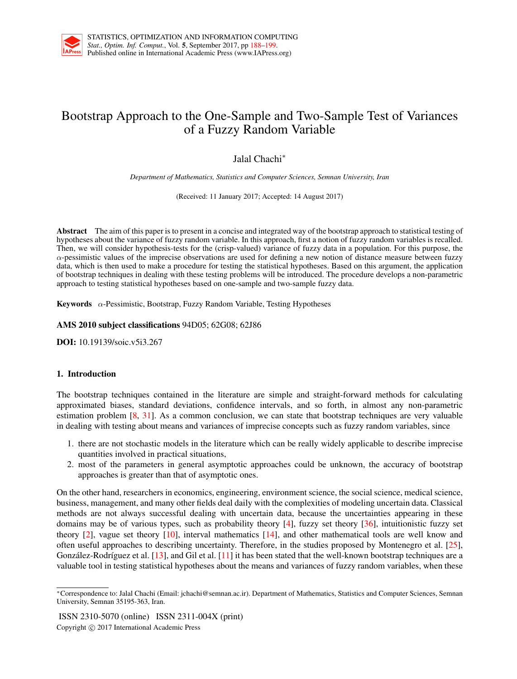

# Bootstrap Approach to the One-Sample and Two-Sample Test of Variances of a Fuzzy Random Variable

Jalal Chachi*<sup>∗</sup>*

*Department of Mathematics, Statistics and Computer Sciences, Semnan University, Iran*

(Received: 11 January 2017; Accepted: 14 August 2017)

Abstract The aim of this paper is to present in a concise and integrated way of the bootstrap approach to statistical testing of hypotheses about the variance of fuzzy random variable. In this approach, first a notion of fuzzy random variables is recalled. Then, we will consider hypothesis-tests for the (crisp-valued) variance of fuzzy data in a population. For this purpose, the  $\alpha$ -pessimistic values of the imprecise observations are used for defining a new notion of distance measure between fuzzy data, which is then used to make a procedure for testing the statistical hypotheses. Based on this argument, the application of bootstrap techniques in dealing with these testing problems will be introduced. The procedure develops a non-parametric approach to testing statistical hypotheses based on one-sample and two-sample fuzzy data.

Keywords *α*-Pessimistic, Bootstrap, Fuzzy Random Variable, Testing Hypotheses

AMS 2010 subject classifications 94D05; 62G08; 62J86

DOI: 10.19139/soic.v5i3.267

# 1. Introduction

The bootstrap techniques contained in the literature are simple and straight-forward methods for calculating approximated biases, standard deviations, confidence intervals, and so forth, in almost any non-parametric estimation problem [8, 31]. As a common conclusion, we can state that bootstrap techniques are very valuable in dealing with testing about means and variances of imprecise concepts such as fuzzy random variables, since

- 1. there are not stochastic models in the literature which can be really widely applicable to describe imprecise quantities involved in practical situations,
- 2. most of the parameters in general asymptotic approaches could be unknown, the accuracy of bootstrap approaches is greater than that of asymptotic ones.

On the other hand, researchers in economics, engineering, environment science, the social science, medical science, business, management, and many other fields deal daily with the complexities of modeling uncertain data. Classical methods are not always successful dealing with uncertain data, because the uncertainties appearing in these domains may be of various types, such as probability theory  $[4]$ , fuzzy set theory  $[36]$ , intuitionistic fuzzy set theory [2], vague set theory [10], interval mathematics [14], and other mathematical tools are well know and often useful approaches to describing uncertainty. Therefore, in the studies proposed by Montenegro et al. [25], González-Rodríguez et al.  $[13]$ , and Gil et al.  $[11]$  it has been stated that the well-known bootstrap techniques are a valuable tool in testing statistical hypotheses about the means and variances of fuzzy random variables, when these

ISSN 2310-5070 (online) ISSN 2311-004X (print) Copyright *⃝*c 2017 International Academic Press

*<sup>∗</sup>*Correspondence to: Jalal Chachi (Email: jchachi@semnan.ac.ir). Department of Mathematics, Statistics and Computer Sciences, Semnan University, Semnan 35195-363, Iran.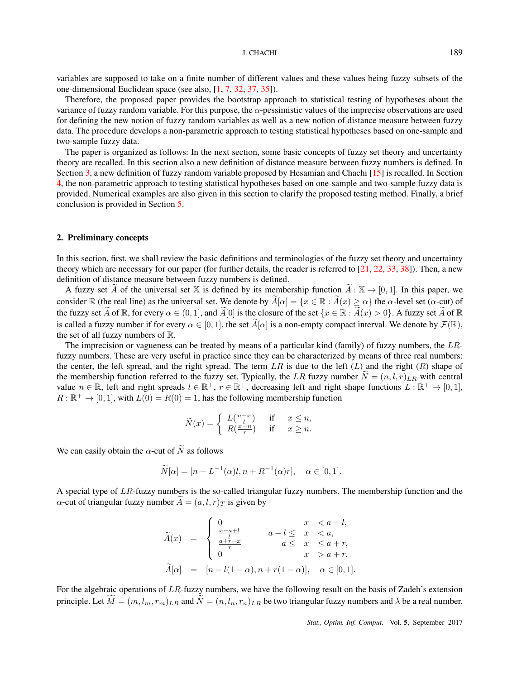variables are supposed to take on a finite number of different values and these values being fuzzy subsets of the one-dimensional Euclidean space (see also, [1, 7, 32, 37, 35]).

Therefore, the proposed paper provides the bootstrap approach to statistical testing of hypotheses about the variance of fuzzy random variable. For this purpose, the *α*-pessimistic values of the imprecise observations are used for defining the new notion of fuzzy random variables as well as a new notion of distance measure between fuzzy data. The procedure develops a non-parametric approach to testing statistical hypotheses based on one-sample and two-sample fuzzy data.

The paper is organized as follows: In the next section, some basic concepts of fuzzy set theory and uncertainty theory are recalled. In this section also a new definition of distance measure between fuzzy numbers is defined. In Section 3, a new definition of fuzzy random variable proposed by Hesamian and Chachi [15] is recalled. In Section 4, the non-parametric approach to testing statistical hypotheses based on one-sample and two-sample fuzzy data is provided. Numerical examples are also given in this section to clarify the proposed testing method. Finally, a brief conclusion is provided in Section 5.

## 2. Preliminary concepts

In this section, first, we shall review the basic definitions and terminologies of the fuzzy set theory and uncertainty theory which are necessary for our paper (for further details, the reader is referred to [21, 22, 33, 38]). Then, a new definition of distance measure between fuzzy numbers is defined.

A fuzzy set *A* of the universal set X is defined by its membership function  $\hat{A} : X \to [0,1]$ . In this paper, we consider R (the real line) as the universal set. We denote by  $\widetilde{A}[\alpha] = \{x \in \mathbb{R} : \widetilde{A}(x) \ge \alpha\}$  the  $\alpha$ -level set ( $\alpha$ -cut) of the fuzzy set  $\tilde{A}$  of  $\mathbb{R}$ , for every  $\alpha \in (0,1]$ , and  $\tilde{A}[0]$  is the closure of the set  $\{x \in \mathbb{R} : \tilde{A}(x) > 0\}$ . A fuzzy set  $\tilde{A}$  of  $\mathbb{R}$ is called a fuzzy number if for every  $\alpha \in [0, 1]$ , the set  $\widetilde{A}[\alpha]$  is a non-empty compact interval. We denote by  $\mathcal{F}(\mathbb{R})$ , the set of all fuzzy numbers of  $\mathbb{R}$ .

The imprecision or vagueness can be treated by means of a particular kind (family) of fuzzy numbers, the *LR*fuzzy numbers. These are very useful in practice since they can be characterized by means of three real numbers: the center, the left spread, and the right spread. The term *LR* is due to the left (*L*) and the right (*R*) shape of the membership function referred to the fuzzy set. Typically, the LR fuzzy number  $\tilde{N} = (n, l, r)_{LR}$  with central value  $n \in \mathbb{R}$ , left and right spreads  $l \in \mathbb{R}^+$ ,  $r \in \mathbb{R}^+$ , decreasing left and right shape functions  $L : \mathbb{R}^+ \to [0,1]$ ,  $R: \mathbb{R}^+ \to [0, 1]$ , with  $L(0) = R(0) = 1$ , has the following membership function

$$
\widetilde{N}(x) = \begin{cases} L(\frac{n-x}{l}) & \text{if } x \leq n, \\ R(\frac{x-n}{r}) & \text{if } x \geq n. \end{cases}
$$

We can easily obtain the  $\alpha$ -cut of  $\widetilde{N}$  as follows

$$
\widetilde{N}[\alpha] = [n - L^{-1}(\alpha)l, n + R^{-1}(\alpha)r], \quad \alpha \in [0, 1].
$$

A special type of *LR*-fuzzy numbers is the so-called triangular fuzzy numbers. The membership function and the *α*-cut of triangular fuzzy number  $A = (a, l, r)_T$  is given by

$$
\widetilde{A}(x) = \begin{cases}\n0 & x < a - l, \\
\frac{x - a + l}{l} & a - l \leq x < a, \\
\frac{a + r - x}{r} & a \leq x \leq a + r, \\
0 & x > a + r.\n\end{cases}
$$
\n
$$
\widetilde{A}[\alpha] = [n - l(1 - \alpha), n + r(1 - \alpha)], \alpha \in [0, 1].
$$

For the algebraic operations of *LR*-fuzzy numbers, we have the following result on the basis of Zadeh's extension principle. Let  $\widetilde{M} = (m, l_m, r_m)_{LR}$  and  $\widetilde{N} = (n, l_n, r_n)_{LR}$  be two triangular fuzzy numbers and  $\lambda$  be a real number.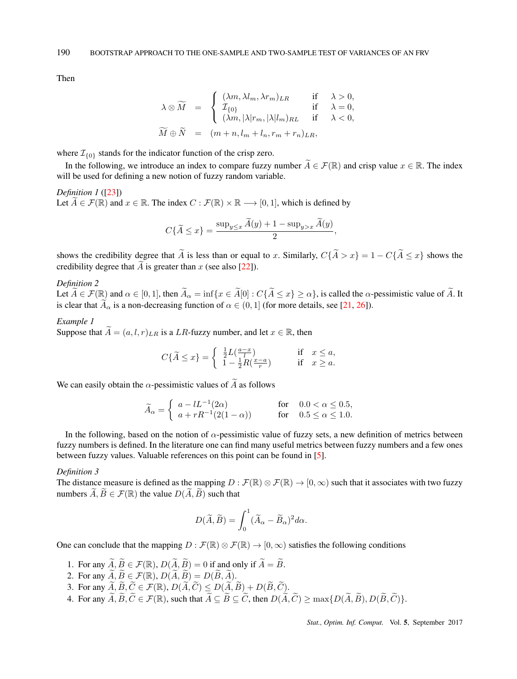Then

$$
\lambda \otimes \widetilde{M} = \begin{cases}\n(\lambda m, \lambda l_m, \lambda r_m)_{LR} & \text{if } \lambda > 0, \\
\mathcal{I}_{\{0\}} & \text{if } \lambda = 0, \\
(\lambda m, |\lambda| r_m, |\lambda| l_m)_{RL} & \text{if } \lambda < 0, \\
\widetilde{M} \oplus \widetilde{N} = (m + n, l_m + l_n, r_m + r_n)_{LR},\n\end{cases}
$$

where  $\mathcal{I}_{\{0\}}$  stands for the indicator function of the crisp zero.

In the following, we introduce an index to compare fuzzy number  $\widetilde{A} \in \mathcal{F}(\mathbb{R})$  and crisp value  $x \in \mathbb{R}$ . The index will be used for defining a new notion of fuzzy random variable.

*Definition 1* ([23]) Let  $\widetilde{A} \in \mathcal{F}(\mathbb{R})$  and  $x \in \mathbb{R}$ . The index  $C : \mathcal{F}(\mathbb{R}) \times \mathbb{R} \longrightarrow [0,1]$ , which is defined by

$$
C\{\widetilde{A} \le x\} = \frac{\sup_{y \le x} \widetilde{A}(y) + 1 - \sup_{y > x} \widetilde{A}(y)}{2},
$$

shows the credibility degree that  $\tilde{A}$  is less than or equal to *x*. Similarly,  $C\{\tilde{A} > x\} = 1 - C\{\tilde{A} \le x\}$  shows the credibility degree that  $\widetilde{A}$  is greater than *x* (see also [22]).

# *Definition 2*

Let  $\widetilde{A} \in \mathcal{F}(\mathbb{R})$  and  $\alpha \in [0,1]$ , then  $\widetilde{A}_{\alpha} = \inf \{ x \in \widetilde{A}[0] : C\{\widetilde{A} \leq x\} \geq \alpha \}$ , is called the  $\alpha$ -pessimistic value of  $\widetilde{A}$ . It is clear that  $\widetilde{A}_{\alpha}$  is a non-decreasing function of  $\alpha \in (0,1]$  (for more details, see [21, 26]).

# *Example 1*

Suppose that  $\widetilde{A} = (a, l, r)_{LR}$  is a *LR*-fuzzy number, and let  $x \in \mathbb{R}$ , then

$$
C\{\widetilde{A} \le x\} = \begin{cases} \frac{1}{2}L\left(\frac{a-x}{l}\right) & \text{if } x \le a, \\ 1 - \frac{1}{2}R\left(\frac{x-a}{r}\right) & \text{if } x \ge a. \end{cases}
$$

We can easily obtain the  $\alpha$ -pessimistic values of  $\widetilde{A}$  as follows

$$
\widetilde{A}_{\alpha} = \begin{cases}\n a - lL^{-1}(2\alpha) & \text{for} \quad 0.0 < \alpha \le 0.5, \\
 a + rR^{-1}(2(1 - \alpha)) & \text{for} \quad 0.5 \le \alpha \le 1.0.\n\end{cases}
$$

In the following, based on the notion of  $\alpha$ -pessimistic value of fuzzy sets, a new definition of metrics between fuzzy numbers is defined. In the literature one can find many useful metrics between fuzzy numbers and a few ones between fuzzy values. Valuable references on this point can be found in [5].

## *Definition 3*

The distance measure is defined as the mapping  $D : \mathcal{F}(\mathbb{R}) \otimes \mathcal{F}(\mathbb{R}) \to [0,\infty)$  such that it associates with two fuzzy numbers  $\widetilde{A}, \widetilde{B} \in \mathcal{F}(\mathbb{R})$  the value  $D(\widetilde{A}, \widetilde{B})$  such that

$$
D(\widetilde{A}, \widetilde{B}) = \int_0^1 (\widetilde{A}_{\alpha} - \widetilde{B}_{\alpha})^2 d\alpha.
$$

One can conclude that the mapping  $D : \mathcal{F}(\mathbb{R}) \otimes \mathcal{F}(\mathbb{R}) \to [0,\infty)$  satisfies the following conditions

- 1. For any  $\widetilde{A}, \widetilde{B} \in \mathcal{F}(\mathbb{R}), D(\widetilde{A}, \widetilde{B}) = 0$  if and only if  $\widetilde{A} = \widetilde{B}$ .
- 2. For any  $\widetilde{A}, \widetilde{B} \in \mathcal{F}(\mathbb{R}), D(\widetilde{A}, \widetilde{B}) = D(\widetilde{B}, \widetilde{A}).$
- 3. For any  $A, B, C \in \mathcal{F}(\mathbb{R}), D(A, C) \leq D(A, B) + D(B, C)$ .
- 4. For any  $A, B, C \in \mathcal{F}(\mathbb{R})$ , such that  $A \subseteq B \subseteq C$ , then  $D(A, C) \ge \max\{D(A, B), D(B, C)\}\$ .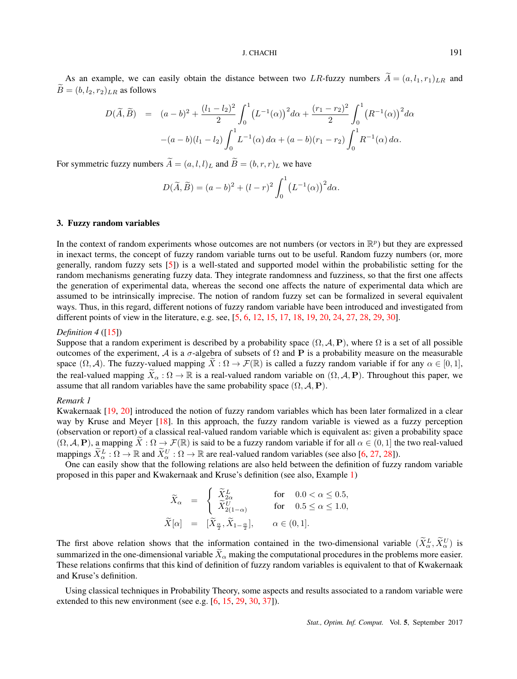As an example, we can easily obtain the distance between two *LR*-fuzzy numbers  $\widetilde{A} = (a, l_1, r_1)_{LR}$  and  $\widetilde{B} = (b, l_2, r_2)_{LR}$  as follows

$$
D(\widetilde{A}, \widetilde{B}) = (a - b)^2 + \frac{(l_1 - l_2)^2}{2} \int_0^1 (L^{-1}(\alpha))^2 d\alpha + \frac{(r_1 - r_2)^2}{2} \int_0^1 (R^{-1}(\alpha))^2 d\alpha
$$

$$
-(a - b)(l_1 - l_2) \int_0^1 L^{-1}(\alpha) d\alpha + (a - b)(r_1 - r_2) \int_0^1 R^{-1}(\alpha) d\alpha.
$$

For symmetric fuzzy numbers  $\widetilde{A} = (a, l, l)_L$  and  $\widetilde{B} = (b, r, r)_L$  we have

$$
D(\widetilde{A}, \widetilde{B}) = (a - b)^{2} + (l - r)^{2} \int_{0}^{1} (L^{-1}(\alpha))^{2} d\alpha.
$$

#### 3. Fuzzy random variables

In the context of random experiments whose outcomes are not numbers (or vectors in  $\mathbb{R}^p$ ) but they are expressed in inexact terms, the concept of fuzzy random variable turns out to be useful. Random fuzzy numbers (or, more generally, random fuzzy sets [5]) is a well-stated and supported model within the probabilistic setting for the random mechanisms generating fuzzy data. They integrate randomness and fuzziness, so that the first one affects the generation of experimental data, whereas the second one affects the nature of experimental data which are assumed to be intrinsically imprecise. The notion of random fuzzy set can be formalized in several equivalent ways. Thus, in this regard, different notions of fuzzy random variable have been introduced and investigated from different points of view in the literature, e.g. see, [5, 6, 12, 15, 17, 18, 19, 20, 24, 27, 28, 29, 30].

#### *Definition 4* ([15])

Suppose that a random experiment is described by a probability space  $(\Omega, \mathcal{A}, P)$ , where  $\Omega$  is a set of all possible outcomes of the experiment, *A* is a *σ*-algebra of subsets of Ω and **P** is a probability measure on the measurable space  $(\Omega, \mathcal{A})$ . The fuzzy-valued mapping  $\hat{X}: \Omega \to \mathcal{F}(\mathbb{R})$  is called a fuzzy random variable if for any  $\alpha \in [0, 1]$ , the real-valued mapping  $\widetilde{X}_\alpha : \Omega \to \mathbb{R}$  is a real-valued random variable on  $(\Omega, \mathcal{A}, P)$ . Throughout this paper, we assume that all random variables have the same probability space  $(\Omega, \mathcal{A}, \mathbf{P})$ .

## *Remark 1*

Kwakernaak [19, 20] introduced the notion of fuzzy random variables which has been later formalized in a clear way by Kruse and Meyer [18]. In this approach, the fuzzy random variable is viewed as a fuzzy perception (observation or report) of a classical real-valued random variable which is equivalent as: given a probability space  $(\Omega, \mathcal{A}, \mathbf{P})$ , a mapping  $\widetilde{X}: \Omega \to \mathcal{F}(\mathbb{R})$  is said to be a fuzzy random variable if for all  $\alpha \in (0, 1]$  the two real-valued mappings  $\bar{X}_{\alpha}^{L}: \Omega \to \mathbb{R}$  and  $\bar{X}_{\alpha}^{U}: \Omega \to \mathbb{R}$  are real-valued random variables (see also [6, 27, 28]).

One can easily show that the following relations are also held between the definition of fuzzy random variable proposed in this paper and Kwakernaak and Kruse's definition (see also, Example 1)

$$
\begin{array}{rcll} \widetilde{X}_{\alpha} & = & \left\{ \begin{array}{lcl} \widetilde{X}^{L}_{2\alpha} & \quad & \mbox{for} & \; 0.0 < \alpha \leq 0.5, \\ \widetilde{X}^{U}_{2(1-\alpha)} & \quad & \mbox{for} & \; 0.5 \leq \alpha \leq 1.0, \\ \widetilde{X}[\alpha] & = & [\widetilde{X}_{\frac{\alpha}{2}}, \widetilde{X}_{1-\frac{\alpha}{2}}], & \; \alpha \in (0,1]. \end{array} \right. \end{array}
$$

The first above relation shows that the information contained in the two-dimensional variable  $(X^L_\alpha, \tilde{X}^U_\alpha)$  is summarized in the one-dimensional variable  $\bar{X}_\alpha$  making the computational procedures in the problems more easier. These relations confirms that this kind of definition of fuzzy random variables is equivalent to that of Kwakernaak and Kruse's definition.

Using classical techniques in Probability Theory, some aspects and results associated to a random variable were extended to this new environment (see e.g.  $[6, 15, 29, 30, 37]$ ).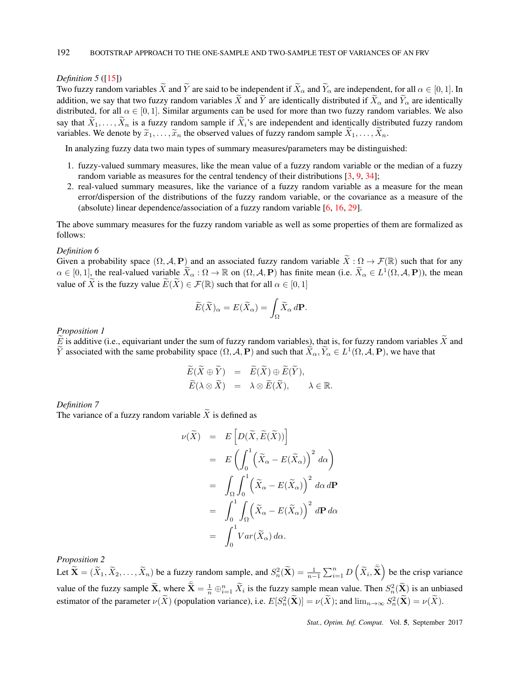#### *Definition 5* ([15])

Two fuzzy random variables  $\widetilde{X}$  and  $\widetilde{Y}$  are said to be independent if  $\widetilde{X}_{\alpha}$  and  $\widetilde{Y}_{\alpha}$  are independent, for all  $\alpha \in [0, 1]$ . In addition, we say that two fuzzy random variables  $\widetilde{X}$  and  $\widetilde{Y}$  are identically distributed if  $\widetilde{X}$ <sub> $\alpha$ </sub> and  $\widetilde{Y}$ <sub> $\alpha$ </sub> are identically distributed, for all  $\alpha \in [0, 1]$ . Similar arguments can be used for more than two fuzzy random variables. We also say that  $\widetilde{X}_1, \ldots, \widetilde{X}_n$  is a fuzzy random sample if  $\widetilde{X}_i$ 's are independent and identically distributed fuzzy random variables. We denote by  $\tilde{x}_1, \ldots, \tilde{x}_n$  the observed values of fuzzy random sample  $\tilde{X}_1, \ldots, \tilde{X}_n$ .

In analyzing fuzzy data two main types of summary measures/parameters may be distinguished:

- 1. fuzzy-valued summary measures, like the mean value of a fuzzy random variable or the median of a fuzzy random variable as measures for the central tendency of their distributions [3, 9, 34];
- 2. real-valued summary measures, like the variance of a fuzzy random variable as a measure for the mean error/dispersion of the distributions of the fuzzy random variable, or the covariance as a measure of the (absolute) linear dependence/association of a fuzzy random variable [6, 16, 29].

The above summary measures for the fuzzy random variable as well as some properties of them are formalized as follows:

#### *Definition 6*

Given a probability space  $(\Omega, \mathcal{A}, P)$  and an associated fuzzy random variable  $\widetilde{X}: \Omega \to \mathcal{F}(\mathbb{R})$  such that for any  $\alpha \in [0,1]$ , the real-valued variable  $\overline{X}_{\alpha} : \Omega \to \mathbb{R}$  on  $(\Omega, \mathcal{A}, \mathbf{P})$  has finite mean (i.e.  $\overline{X}_{\alpha} \in L^1(\Omega, \mathcal{A}, \mathbf{P})$ ), the mean value of  $\widetilde{X}$  is the fuzzy value  $\widetilde{E}(\widetilde{X}) \in \mathcal{F}(\mathbb{R})$  such that for all  $\alpha \in [0,1]$ 

$$
\widetilde{E}(\widetilde{X})_{\alpha} = E(\widetilde{X}_{\alpha}) = \int_{\Omega} \widetilde{X}_{\alpha} d\mathbf{P}.
$$

*Proposition 1*

 $\widetilde{E}$  is additive (i.e., equivariant under the sum of fuzzy random variables), that is, for fuzzy random variables  $\widetilde{X}$  and *Y* associated with the same probability space  $(\Omega, \mathcal{A}, \mathbf{P})$  and such that  $\overline{X}_{\alpha}, \overline{Y}_{\alpha} \in L^1(\Omega, \mathcal{A}, \mathbf{P})$ , we have that

$$
\begin{array}{rcl}\n\widetilde{E}(\widetilde{X} \oplus \widetilde{Y}) & = & \widetilde{E}(\widetilde{X}) \oplus \widetilde{E}(\widetilde{Y}), \\
\widetilde{E}(\lambda \otimes \widetilde{X}) & = & \lambda \otimes \widetilde{E}(\widetilde{X}), \qquad \lambda \in \mathbb{R}.\n\end{array}
$$

*Definition 7*

The variance of a fuzzy random variable  $\widetilde{X}$  is defined as

$$
\nu(\widetilde{X}) = E\left[D(\widetilde{X}, \widetilde{E}(\widetilde{X}))\right]
$$
  
\n
$$
= E\left(\int_0^1 \left(\widetilde{X}_{\alpha} - E(\widetilde{X}_{\alpha})\right)^2 d\alpha\right)
$$
  
\n
$$
= \int_{\Omega} \int_0^1 \left(\widetilde{X}_{\alpha} - E(\widetilde{X}_{\alpha})\right)^2 d\alpha d\mathbf{P}
$$
  
\n
$$
= \int_0^1 \int_{\Omega} \left(\widetilde{X}_{\alpha} - E(\widetilde{X}_{\alpha})\right)^2 d\mathbf{P} d\alpha
$$
  
\n
$$
= \int_0^1 Var(\widetilde{X}_{\alpha}) d\alpha.
$$

*Proposition 2*

Let  $\widetilde{\mathbf{X}} = (\widetilde{X}_1, \widetilde{X}_2, \dots, \widetilde{X}_n)$  be a fuzzy random sample, and  $S_n^2(\widetilde{\mathbf{X}}) = \frac{1}{n-1} \sum_{i=1}^n D(\widetilde{X}_i, \widetilde{\overline{\mathbf{X}}})$  be the crisp variance value of the fuzzy sample  $\widetilde{\mathbf{X}}$ , where  $\widetilde{\bar{\mathbf{X}}} = \frac{1}{n} \bigoplus_{i=1}^n \widetilde{X}_i$  is the fuzzy sample mean value. Then  $S_n^2(\widetilde{\mathbf{X}})$  is an unbiased estimator of the parameter  $\nu(\tilde{X})$  (population variance), i.e.  $E[S_n^2(\tilde{X})] = \nu(\tilde{X})$ ; and  $\lim_{n\to\infty} S_n^2(\tilde{X}) = \nu(\tilde{X})$ .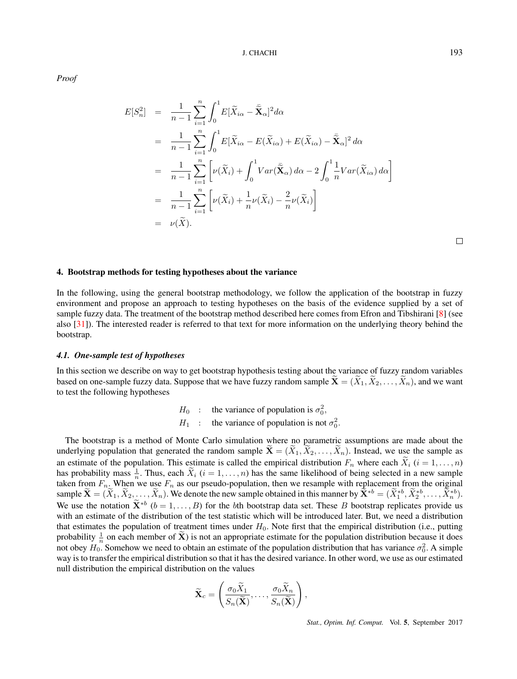*Proof*

$$
E[S_n^2] = \frac{1}{n-1} \sum_{i=1}^n \int_0^1 E[\widetilde{X}_{i\alpha} - \widetilde{\mathbf{X}}_{\alpha}]^2 d\alpha
$$
  
\n
$$
= \frac{1}{n-1} \sum_{i=1}^n \int_0^1 E[\widetilde{X}_{i\alpha} - E(\widetilde{X}_{i\alpha}) + E(\widetilde{X}_{i\alpha}) - \widetilde{\mathbf{X}}_{\alpha}]^2 d\alpha
$$
  
\n
$$
= \frac{1}{n-1} \sum_{i=1}^n \left[ \nu(\widetilde{X}_i) + \int_0^1 Var(\widetilde{\mathbf{X}}_{\alpha}) d\alpha - 2 \int_0^1 \frac{1}{n} Var(\widetilde{X}_{i\alpha}) d\alpha \right]
$$
  
\n
$$
= \frac{1}{n-1} \sum_{i=1}^n \left[ \nu(\widetilde{X}_i) + \frac{1}{n} \nu(\widetilde{X}_i) - \frac{2}{n} \nu(\widetilde{X}_i) \right]
$$
  
\n
$$
= \nu(\widetilde{X}).
$$

 $\Box$ 

## 4. Bootstrap methods for testing hypotheses about the variance

In the following, using the general bootstrap methodology, we follow the application of the bootstrap in fuzzy environment and propose an approach to testing hypotheses on the basis of the evidence supplied by a set of sample fuzzy data. The treatment of the bootstrap method described here comes from Efron and Tibshirani [8] (see also [31]). The interested reader is referred to that text for more information on the underlying theory behind the bootstrap.

#### *4.1. One-sample test of hypotheses*

In this section we describe on way to get bootstrap hypothesis testing about the variance of fuzzy random variables based on one-sample fuzzy data. Suppose that we have fuzzy random sample  $\widetilde{\mathbf{X}} = (\widetilde{X}_1, \widetilde{X}_2, \ldots, \widetilde{X}_n)$ , and we want to test the following hypotheses

> *H*<sup>0</sup> : the variance of population is  $\sigma_0^2$ , *H*<sub>1</sub> : the variance of population is not  $\sigma_0^2$ .

The bootstrap is a method of Monte Carlo simulation where no parametric assumptions are made about the underlying population that generated the random sample  $\mathbf{X} = (\tilde{X}_1, \tilde{X}_2, \dots, \tilde{X}_n)$ . Instead, we use the sample as an estimate of the population. This estimate is called the empirical distribution  $F_n$  where each  $\widetilde{X}_i$  ( $i = 1, \ldots, n$ ) has probability mass  $\frac{1}{n}$ . Thus, each  $\tilde{X}_i$  ( $i = 1, \ldots, n$ ) has the same likelihood of being selected in a new sample taken from  $F_n$ . When we use  $F_n$  as our pseudo-population, then we resample with replacement from the original sample  $\mathbf{X} = (\tilde{X}_1, \tilde{X}_2, \dots, \tilde{X}_n)$ . We denote the new sample obtained in this manner by  $\mathbf{X}^{*b} = (\tilde{X}_1^{*b}, \tilde{X}_2^{*b}, \dots, \tilde{X}_n^{*b})$ . We use the notation  $\mathbf{X}^{*b}$  ( $b = 1, \ldots, B$ ) for the *b*th bootstrap data set. These *B* bootstrap replicates provide us with an estimate of the distribution of the test statistic which will be introduced later. But, we need a distribution that estimates the population of treatment times under *H*0. Note first that the empirical distribution (i.e., putting probability  $\frac{1}{n}$  on each member of  $\tilde{\mathbf{X}}$ ) is not an appropriate estimate for the population distribution because it does not obey  $H_0$ . Somehow we need to obtain an estimate of the population distribution that has variance  $\sigma_0^2$ . A simple way is to transfer the empirical distribution so that it has the desired variance. In other word, we use as our estimated null distribution the empirical distribution on the values

$$
\widetilde{\mathbf{X}}_c = \left(\frac{\sigma_0 \widetilde{X}_1}{S_n(\widetilde{\mathbf{X}})}, \dots, \frac{\sigma_0 \widetilde{X}_n}{S_n(\widetilde{\mathbf{X}})}\right),
$$

*Stat., Optim. Inf. Comput.* Vol. 5, September 2017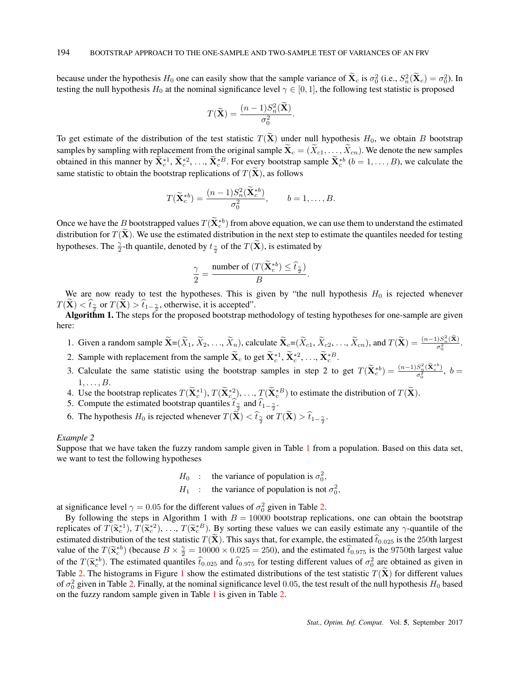because under the hypothesis  $H_0$  one can easily show that the sample variance of  $\mathbf{X}_c$  is  $\sigma_0^2$  (i.e.,  $S_n^2(\mathbf{X}_c) = \sigma_0^2$ ). In testing the null hypothesis  $H_0$  at the nominal significance level  $\gamma \in [0, 1]$ , the following test statistic is proposed

$$
T(\widetilde{\mathbf{X}}) = \frac{(n-1)S_n^2(\mathbf{X})}{\sigma_0^2}.
$$

To get estimate of the distribution of the test statistic  $T(\tilde{\mathbf{X}})$  under null hypothesis  $H_0$ , we obtain *B* bootstrap samples by sampling with replacement from the original sample  $\mathbf{X}_c = (\tilde{X}_{c1}, \dots, \tilde{X}_{cn})$ . We denote the new samples obtained in this manner by  $X_c^{*1}, X_c^{*2}, ..., X_c^{*B}$ . For every bootstrap sample  $X_c^{*b}$   $(b = 1, ..., B)$ , we calculate the same statistic to obtain the bootstrap replications of  $T(\mathbf{X})$ , as follows

$$
T(\widetilde{\mathbf{X}}_c^{*b}) = \frac{(n-1)S_n^2(\mathbf{X}_c^{*b})}{\sigma_0^2}, \qquad b = 1, \dots, B.
$$

Once we have the *B* bootstrapped values  $T(\mathbf{X}_c^*)$  from above equation, we can use them to understand the estimated distribution for  $T(\tilde{\mathbf{X}})$ . We use the estimated distribution in the next step to estimate the quantiles needed for testing hypotheses. The  $\frac{\gamma}{2}$ -th quantile, denoted by  $t_{\frac{\gamma}{2}}$  of the  $T(\widetilde{\mathbf{X}})$ , is estimated by

$$
\frac{\gamma}{2} = \frac{\text{number of } (T(\widetilde{\mathbf{X}}_c^{*b}) \leq \widehat{t}_{\frac{\gamma}{2}})}{B}.
$$

We are now ready to test the hypotheses. This is given by "the null hypothesis  $H_0$  is rejected whenever  $T(X) < t_{\frac{\gamma}{2}}$  or  $T(X) > t_{1-\frac{\gamma}{2}}$ , otherwise, it is accepted".

Algorithm 1. The steps for the proposed bootstrap methodology of testing hypotheses for one-sample are given here:

- 1. Given a random sample  $\widetilde{\mathbf{X}} = (\widetilde{X}_1, \widetilde{X}_2, ..., \widetilde{X}_n)$ , calculate  $\widetilde{\mathbf{X}}_c = (\widetilde{X}_{c1}, \widetilde{X}_{c2}, ..., \widetilde{X}_{cn})$ , and  $T(\widetilde{\mathbf{X}}) = \frac{(n-1)S_n^2(\widetilde{\mathbf{X}})}{\sigma_0^2}$ .  $\mathbf 0$
- 2. Sample with replacement from the sample  $\mathbf{X}_c$  to get  $\mathbf{X}_c^{*1}, \mathbf{X}_c^{*2}, \ldots, \mathbf{X}_c^{*B}$ .
- 3. Calculate the same statistic using the bootstrap samples in step 2 to get  $T(\tilde{\mathbf{X}}_c^{*b}) = \frac{(n-1)S_n^2(\tilde{\mathbf{X}}_c^{*b})}{\sigma_0^2}$  $\frac{\partial_n(\mathbf{A}_c)}{\partial_0^2}$ ,  $b=$ 1*, . . . , B*.
- 4. Use the bootstrap replicates  $T(\mathbf{X}_c^{*1}), T(\mathbf{X}_c^{*2}), \dots, T(\mathbf{X}_c^{*B})$  to estimate the distribution of  $T(\mathbf{X})$ .
- 5. Compute the estimated bootstrap quantiles  $t_{\frac{\gamma}{2}}$  and  $t_{1-\frac{\gamma}{2}}$ .
- 6. The hypothesis  $H_0$  is rejected whenever  $T(\mathbf{X}) < t_{\frac{\gamma}{2}}$  or  $T(\mathbf{X}) > t_{1-\frac{\gamma}{2}}$ .

# *Example 2*

Suppose that we have taken the fuzzy random sample given in Table 1 from a population. Based on this data set, we want to test the following hypotheses

- *H*<sup>0</sup> : the variance of population is  $\sigma_0^2$ ,
- *H*<sub>1</sub> : the variance of population is not  $\sigma_0^2$ ,

at significance level  $\gamma = 0.05$  for the different values of  $\sigma_0^2$  given in Table 2.

By following the steps in Algorithm 1 with  $B = 10000$  bootstrap replications, one can obtain the bootstrap replicates of  $T(\tilde{\mathbf{x}}_c^{*1}), T(\tilde{\mathbf{x}}_c^{*2}), \ldots, T(\tilde{\mathbf{x}}_c^{*B})$ . By sorting these values we can easily estimate any  $\gamma$ -quantile of the estimated distribution of the test statistic  $T(\bf{X})$ . This says that, for example, the estimated  $\hat{t}_{0.025}$  is the 250th largest value of the  $T(\tilde{\mathbf{x}}^{*b})$  (because  $B \times \frac{\gamma}{2} = 10000 \times 0.025 = 250$ ), and the estimated  $\hat{t}_{0.975}$  is the 9750th largest value of the  $T(\tilde{\mathbf{x}}_c^{*b})$ . The estimated quantiles  $\hat{t}_{0.025}$  and  $\hat{t}_{0.975}$  for testing different values of  $\sigma_0^2$  are obtained as given in Table 2. The histograms in Figure 1 show the estimated distributions of the test statistic  $T(\tilde{\textbf{X}})$  for different values of  $\sigma_0^2$  given in Table 2. Finally, at the nominal significance level 0.05, the test result of the null hypothesis  $H_0$  based on the fuzzy random sample given in Table 1 is given in Table 2.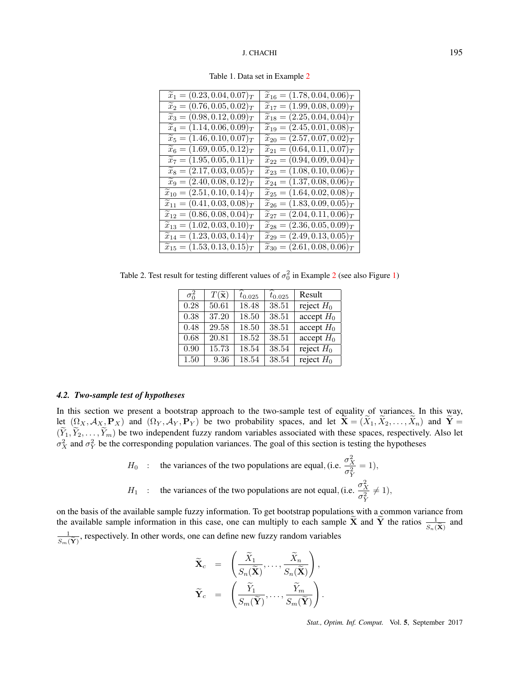| $\widetilde{x}_1 = (0.23, 0.04, 0.07)_T$    | $\widetilde{x}_{16} = (1.78, 0.04, \overline{0.06})_T$ |
|---------------------------------------------|--------------------------------------------------------|
| $\widetilde{x}_2 = (0.76, 0.05, 0.02)_T$    | $\widetilde{x}_{17} = (1.99, 0.08, 0.09)_T$            |
| $\widetilde{x}_3 = (0.98, 0.12, 0.09)_T$    | $\widetilde{x}_{18} = (2.25, 0.04, 0.04)_T$            |
| $\widetilde{x}_4 = (1.14, 0.06, 0.09)$      | $\widetilde{x}_{19} = (2.45, 0.01, 0.08)_T$            |
| $\widetilde{x}_5 = (1.46, 0.10, 0.07)_T$    | $\widetilde{x}_{20} = (2.57, 0.07, 0.02)_T$            |
| $\widetilde{x}_6 = (1.69, 0.05, 0.12)_T$    | $\widetilde{x}_{21} = (0.64, 0.11, 0.07)_T$            |
| $\widetilde{x}_7 = (1.95, 0.05, 0.11)_T$    | $\widetilde{x}_{22} = (0.94, 0.09, 0.04)_T$            |
| $\widetilde{x}_8 = (2.17, 0.03, 0.05)_T$    | $\widetilde{x}_{23} = (1.08, 0.10, 0.06)_T$            |
| $\widetilde{x}_9 = (2.40, 0.08, 0.12)_T$    | $\widetilde{x}_{24} = (1.37, 0.08, 0.06)_T$            |
| $\widetilde{x}_{10} = (2.51, 0.10, 0.14)_T$ | $\widetilde{x}_{25} = (1.64, 0.02, 0.08)_T$            |
| $\widetilde{x}_{11} = (0.41, 0.03, 0.08)_T$ | $\widetilde{x}_{26} = (1.83, 0.09, 0.05)_T$            |
| $\widetilde{x}_{12} = (0.86, 0.08, 0.04)_T$ | $\widetilde{x}_{27} = (2.04, 0.11, 0.06)_T$            |
| $\widetilde{x}_{13} = (1.02, 0.03, 0.10)_T$ | $\widetilde{x}_{28} = (2.36, 0.05, \overline{0.09})_T$ |
| $\widetilde{x}_{14} = (1.23, 0.03, 0.14)_T$ | $\widetilde{x}_{29} = (2.49, 0.13, 0.05)_T$            |
| $\widetilde{x}_{15} = (1.53, 0.13, 0.15)_T$ | $\widetilde{x}_{30} = (2.61, 0.08, 0.06)_T$            |
|                                             |                                                        |

Table 1. Data set in Example 2

Table 2. Test result for testing different values of  $\sigma_0^2$  in Example 2 (see also Figure 1)

| $\sigma_0^2$ | $T(\widetilde{\mathbf{x}})$ | $t_{0.025}$ | $t_{0.025}$ | Result       |
|--------------|-----------------------------|-------------|-------------|--------------|
| 0.28         | 50.61                       | 18.48       | 38.51       | reject $H_0$ |
| 0.38         | 37.20                       | 18.50       | 38.51       | accept $H_0$ |
| 0.48         | 29.58                       | 18.50       | 38.51       | accept $H_0$ |
| 0.68         | 20.81                       | 18.52       | 38.51       | accept $H_0$ |
| 0.90         | 15.73                       | 18.54       | 38.54       | reject $H_0$ |
| 1.50         | 9.36                        | 18.54       | 38.54       | reject $H_0$ |

## *4.2. Two-sample test of hypotheses*

In this section we present a bootstrap approach to the two-sample test of equality of variances. In this way, let  $(\Omega_X, \mathcal{A}_{X_2}, \mathbf{P}_X)$  and  $(\Omega_Y, \mathcal{A}_Y, \mathbf{P}_Y)$  be two probability spaces, and let  $\mathbf{X} = (X_1, X_2, \dots, X_n)$  and  $\mathbf{Y} =$  $(Y_1, Y_2, \ldots, Y_m)$  be two independent fuzzy random variables associated with these spaces, respectively. Also let  $\sigma_X^2$  and  $\sigma_Y^2$  be the corresponding population variances. The goal of this section is testing the hypotheses

> *H*<sup>0</sup> : the variances of the two populations are equal, (i.e.  $\frac{\sigma_X^2}{2}$  $\sigma_Y^2$  $= 1$ , *H*<sub>1</sub> : the variances of the two populations are not equal, (i.e.  $\frac{\sigma_X^2}{2}$  $\sigma_Y^2$  $\neq$  1),

on the basis of the available sample fuzzy information. To get bootstrap populations with a common variance from the available sample information in this case, one can multiply to each sample  $\tilde{\mathbf{X}}$  and  $\tilde{\mathbf{Y}}$  the ratios  $\frac{1}{S_n(\tilde{\mathbf{X}})}$  and 1  $\frac{1}{S_m(\widetilde{Y})}$ , respectively. In other words, one can define new fuzzy random variables

$$
\widetilde{\mathbf{X}}_c = \left( \frac{\widetilde{X}_1}{S_n(\widetilde{\mathbf{X}})}, \dots, \frac{\widetilde{X}_n}{S_n(\widetilde{\mathbf{X}})} \right),
$$
  

$$
\widetilde{\mathbf{Y}}_c = \left( \frac{\widetilde{Y}_1}{S_m(\widetilde{\mathbf{Y}})}, \dots, \frac{\widetilde{Y}_m}{S_m(\widetilde{\mathbf{Y}})} \right).
$$

*Stat., Optim. Inf. Comput.* Vol. 5, September 2017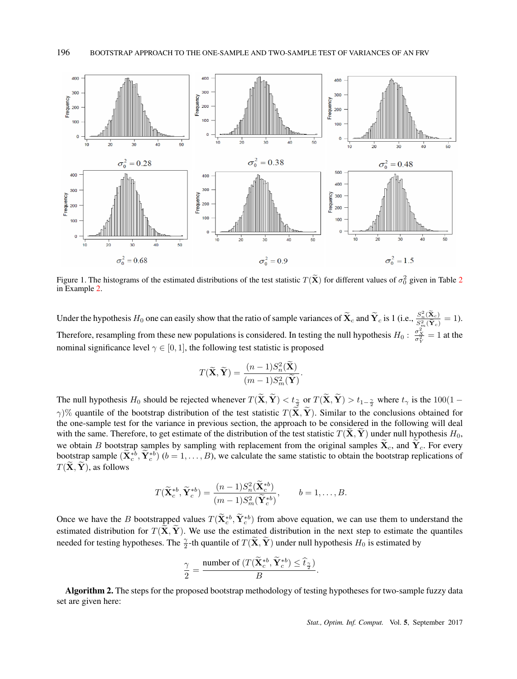

Figure 1. The histograms of the estimated distributions of the test statistic  $T(\tilde{\mathbf{X}})$  for different values of  $\sigma_0^2$  given in Table 2 in Example 2.

Under the hypothesis  $H_0$  one can easily show that the ratio of sample variances of  $\widetilde{\mathbf{X}}_c$  and  $\widetilde{\mathbf{Y}}_c$  is 1 (i.e.,  $\frac{S_n^2(\widetilde{\mathbf{X}}_c)}{S_n^2(\widetilde{\mathbf{Y}}_c)}$  $\frac{S_n(\mathbf{X}_c)}{S_m^2(\widetilde{\mathbf{Y}}_c)} = 1$ . Therefore, resampling from these new populations is considered. In testing the null hypothesis  $H_0: \frac{\sigma_X^2}{\sigma_Y^2} = 1$  at the nominal significance level  $\gamma \in [0, 1]$ , the following test statistic is proposed

$$
T(\widetilde{\mathbf{X}}, \widetilde{\mathbf{Y}}) = \frac{(n-1)S_n^2(\widetilde{\mathbf{X}})}{(m-1)S_m^2(\widetilde{\mathbf{Y}})}.
$$

The null hypothesis  $H_0$  should be rejected whenever  $T(\mathbf{X}, \mathbf{Y}) < t_{\frac{\gamma}{2}}$  or  $T(\mathbf{X}, \mathbf{Y}) > t_{1-\frac{\gamma}{2}}$  where  $t_{\gamma}$  is the  $100(1-\frac{\gamma}{2})$ *γ*)% quantile of the bootstrap distribution of the test statistic  $T(\tilde{\mathbf{X}}, \tilde{\mathbf{Y}})$ . Similar to the conclusions obtained for the one-sample test for the variance in previous section, the approach to be considered in the following will deal with the same. Therefore, to get estimate of the distribution of the test statistic  $T(\tilde{X}, \tilde{Y})$  under null hypothesis  $H_0$ , we obtain *B* bootstrap samples by sampling with replacement from the original samples  $\mathbf{X}_c$ , and  $\mathbf{Y}_c$ . For every bootstrap sample  $(\mathbf{X}_c^{*b}, \mathbf{Y}_c^{*b})$   $(b = 1, \ldots, B)$ , we calculate the same statistic to obtain the bootstrap replications of  $T(\tilde{\mathbf{X}}, \tilde{\mathbf{Y}})$ , as follows

$$
T(\widetilde{\mathbf{X}}_c^{*b}, \widetilde{\mathbf{Y}}_c^{*b}) = \frac{(n-1)S_n^2(\mathbf{X}_c^{*b})}{(m-1)S_m^2(\widetilde{\mathbf{Y}}_c^{*b})}, \qquad b = 1, \dots, B.
$$

Once we have the *B* bootstrapped values  $T(\mathbf{X}_{c}^{*b}, \mathbf{Y}_{c}^{*b})$  from above equation, we can use them to understand the estimated distribution for  $T(\tilde{X}, \tilde{Y})$ . We use the estimated distribution in the next step to estimate the quantiles needed for testing hypotheses. The  $\frac{\gamma}{2}$ -th quantile of  $T(\tilde{X}, \tilde{Y})$  under null hypothesis  $H_0$  is estimated by

$$
\frac{\gamma}{2} = \frac{\text{number of } (T(\widetilde{\mathbf{X}}_c^{*b}, \widetilde{\mathbf{Y}}_c^{*b}) \le \widehat{t}_{\frac{\gamma}{2}})}{B}.
$$

Algorithm 2. The steps for the proposed bootstrap methodology of testing hypotheses for two-sample fuzzy data set are given here: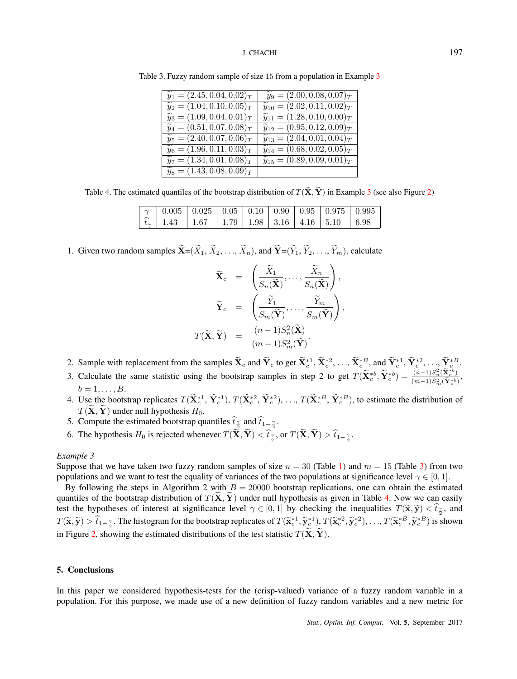| $\widetilde{y}_1 = (2.45, 0.04, 0.02)_T$ | $\widetilde{y}_9 = (2.00, 0.08, 0.07)_T$               |
|------------------------------------------|--------------------------------------------------------|
| $\widetilde{y}_2 = (1.04, 0.10, 0.05)_T$ | $\widetilde{y}_{10} = (2.02, 0.11, 0.02)_T$            |
| $\widetilde{y}_3 = (1.09, 0.04, 0.01)_T$ | $\widetilde{y}_{11} = (1.28, 0.10, 0.00)_T$            |
| $\widetilde{y}_4 = (0.51, 0.07, 0.08)_T$ | $\widetilde{y}_{12} = (0.95, 0.12, 0.09)_T$            |
| $\widetilde{y}_5 = (2.40, 0.07, 0.06)_T$ | $\widetilde{y}_{13} = (2.04, 0.01, 0.04)_T$            |
| $\widetilde{y}_6 = (1.96, 0.11, 0.03)_T$ | $\widetilde{y}_{14} = (0.68, \overline{0.02, 0.05})_T$ |
| $\widetilde{y}_7 = (1.34, 0.01, 0.08)_T$ | $\widetilde{y}_{15} = (0.89, 0.09, 0.01)_T$            |
| $\widetilde{y}_8 = (1.43, 0.08, 0.09)_T$ |                                                        |
|                                          |                                                        |

Table 3. Fuzzy random sample of size 15 from a population in Example 3

Table 4. The estimated quantiles of the bootstrap distribution of  $T(\tilde{\mathbf{X}}, \tilde{\mathbf{Y}})$  in Example 3 (see also Figure 2)

|  | $\mid \gamma \mid 0.005 \mid 0.025 \mid 0.05 \mid 0.10 \mid 0.90 \mid 0.95 \mid 0.975 \mid 0.995 \mid$  |  |  |  |
|--|---------------------------------------------------------------------------------------------------------|--|--|--|
|  | $\mid \hat{t}_{\gamma} \mid 1.43 \mid 1.67 \mid 1.79 \mid 1.98 \mid 3.16 \mid 4.16 \mid 5.10 \mid 6.98$ |  |  |  |

1. Given two random samples  $\widetilde{\mathbf{X}} = (\widetilde{X}_1, \widetilde{X}_2, \ldots, \widetilde{X}_n)$ , and  $\widetilde{\mathbf{Y}} = (\widetilde{Y}_1, \widetilde{Y}_2, \ldots, \widetilde{Y}_m)$ , calculate

$$
\widetilde{\mathbf{X}}_c = \left( \frac{\widetilde{X}_1}{S_n(\widetilde{\mathbf{X}})}, \dots, \frac{\widetilde{X}_n}{S_n(\widetilde{\mathbf{X}})} \right),
$$
\n
$$
\widetilde{\mathbf{Y}}_c = \left( \frac{\widetilde{Y}_1}{S_m(\widetilde{\mathbf{Y}})}, \dots, \frac{\widetilde{Y}_m}{S_m(\widetilde{\mathbf{Y}})} \right),
$$
\n
$$
T(\widetilde{\mathbf{X}}, \widetilde{\mathbf{Y}}) = \frac{(n-1)S_n^2(\widetilde{\mathbf{X}})}{(m-1)S_m^2(\widetilde{\mathbf{Y}})}.
$$

- 2. Sample with replacement from the samples  $\mathbf{X}_c$  and  $\mathbf{Y}_c$  to get  $\mathbf{X}_c^{*1}, \mathbf{X}_c^{*2}, \ldots, \mathbf{X}_c^{*B}$ , and  $\mathbf{Y}_c^{*1}, \mathbf{Y}_c^{*2}, \ldots, \mathbf{Y}_c^{*B}$
- 3. Calculate the same statistic using the bootstrap samples in step 2 to get  $T(\tilde{\mathbf{X}}_c^{*b}, \tilde{\mathbf{Y}}_c^{*b}) = \frac{(n-1)S_n^2(\tilde{\mathbf{X}}_c^{*b})}{(m-1)S_n^2(\tilde{\mathbf{Y}}_c^{*b})}$  $\frac{(n-1)S_n(\mathbf{X}_c)}{(m-1)S_m^2(\widetilde{\mathbf{Y}}_c^{*b})},$  $b = 1, \ldots, B$ .
- 4. Use the bootstrap replicates  $T(\mathbf{X}_c^{*1}, \mathbf{Y}_c^{*1}), T(\mathbf{X}_c^{*2}, \mathbf{Y}_c^{*2}), \ldots, T(\mathbf{X}_c^{*B}, \mathbf{Y}_c^{*B})$ , to estimate the distribution of  $T(\mathbf{X}, \mathbf{Y})$  under null hypothesis  $H_0$ .
- 5. Compute the estimated bootstrap quantiles  $t_{\frac{\gamma}{2}}$  and  $t_{1-\frac{\gamma}{2}}$ .
- 6. The hypothesis *H*<sub>0</sub> is rejected whenever  $T(\tilde{\mathbf{X}}, \tilde{\mathbf{Y}}) < \hat{t}_2^2$ , or  $T(\tilde{\mathbf{X}}, \tilde{\mathbf{Y}}) > \hat{t}_{1-\frac{\gamma}{2}}$ .

## *Example 3*

Suppose that we have taken two fuzzy random samples of size  $n = 30$  (Table 1) and  $m = 15$  (Table 3) from two populations and we want to test the equality of variances of the two populations at significance level  $\gamma \in [0, 1]$ .

By following the steps in Algorithm 2 with  $B = 20000$  bootstrap replications, one can obtain the estimated quantiles of the bootstrap distribution of  $T(\tilde{X}, \tilde{Y})$  under null hypothesis as given in Table 4. Now we can easily test the hypotheses of interest at significance level  $\gamma \in [0,1]$  by checking the inequalities  $T(\tilde{\mathbf{x}}, \tilde{\mathbf{y}}) < t_{\gamma}$ , and  $T(\widetilde{\mathbf{x}}, \widetilde{\mathbf{y}}) > \widehat{t}_{1-\frac{\gamma}{2}}$ . The histogram for the bootstrap replicates of  $T(\widetilde{\mathbf{x}}_c^{*1}, \widetilde{\mathbf{y}}_c^{*1}), T(\widetilde{\mathbf{x}}_c^{*2}, \widetilde{\mathbf{y}}_c^{*2}), \ldots, T(\widetilde{\mathbf{x}}_c^{*B}, \widetilde{\mathbf{y}}_c^{*B})$  is shown in Figure 2, showing the estimated distributions of the test statistic  $T(\tilde{\mathbf{X}}, \tilde{\mathbf{Y}})$ .

## 5. Conclusions

In this paper we considered hypothesis-tests for the (crisp-valued) variance of a fuzzy random variable in a population. For this purpose, we made use of a new definition of fuzzy random variables and a new metric for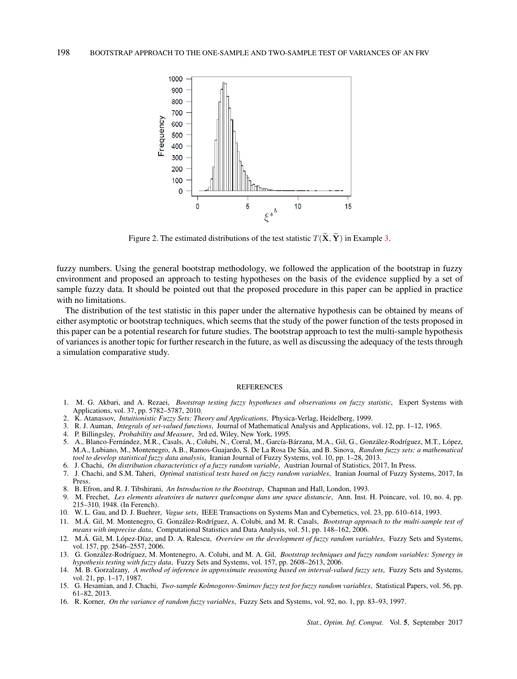

Figure 2. The estimated distributions of the test statistic  $T(\tilde{\mathbf{X}}, \tilde{\mathbf{Y}})$  in Example 3.

fuzzy numbers. Using the general bootstrap methodology, we followed the application of the bootstrap in fuzzy environment and proposed an approach to testing hypotheses on the basis of the evidence supplied by a set of sample fuzzy data. It should be pointed out that the proposed procedure in this paper can be applied in practice with no limitations.

The distribution of the test statistic in this paper under the alternative hypothesis can be obtained by means of either asymptotic or bootstrap techniques, which seems that the study of the power function of the tests proposed in this paper can be a potential research for future studies. The bootstrap approach to test the multi-sample hypothesis of variances is another topic for further research in the future, as well as discussing the adequacy of the tests through a simulation comparative study.

## **REFERENCES**

- 1. M. G. Akbari, and A. Rezaei, *Bootstrap testing fuzzy hypotheses and observations on fuzzy statistic*, Expert Systems with Applications, vol. 37, pp. 5782–5787, 2010.
- 2. K. Atanassov, *Intuitionistic Fuzzy Sets: Theory and Applications*, Physica-Verlag, Heidelberg, 1999.
- 3. R. J. Auman, *Integrals of set-valued functions*, Journal of Mathematical Analysis and Applications, vol. 12, pp. 1–12, 1965.
- 4. P. Billingsley, *Probability and Measure*, 3rd ed, Wiley, New York, 1995.
- 5. A., Blanco-Fernández, M.R., Casals, A., Colubi, N., Corral, M., García-Bárzana, M.A., Gil, G., González-Rodríguez, M.T., López, M.A., Lubiano, M., Montenegro, A.B., Ramos-Guajardo, S. De La Rosa De Sáa, and B. Sinova, *Random fuzzy sets: a mathematical tool to develop statistical fuzzy data analysis*, Iranian Journal of Fuzzy Systems, vol. 10, pp. 1–28, 2013.
- 6. J. Chachi, *On distribution characteristics of a fuzzy random variable*, Austrian Journal of Statistics, 2017, In Press.
- 7. J. Chachi, and S.M. Taheri, *Optimal statistical tests based on fuzzy random variables*, Iranian Journal of Fuzzy Systems, 2017, In Press.
- 8. B. Efron, and R. J. Tibshirani, *An Introduction to the Bootstrap*, Chapman and Hall, London, 1993.
- 9. M. Frechet, *Les elements aleatoires de natures quelconque dans une space distancie*, Ann. Inst. H. Poincare, vol. 10, no. 4, pp. 215–310, 1948. (In Ferench).
- 10. W. L. Gau, and D. J. Buehrer, *Vague sets*, IEEE Transactions on Systems Man and Cybernetics, vol. 23, pp. 610–614, 1993.
- 11. M.Á. Gil, M. Montenegro, G. González-Rodríguez, A. Colubi, and M. R. Casals, *Bootstrap approach to the multi-sample test of means with imprecise data*, Computational Statistics and Data Analysis, vol. 51, pp. 148–162, 2006.
- 12. M.Á. Gil, M. López-Díaz, and D. A. Ralescu, *Overview on the development of fuzzy random variables*, Fuzzy Sets and Systems, vol. 157, pp. 2546–2557, 2006.
- 13. G. González-Rodríguez, M. Montenegro, A. Colubi, and M. A. Gil, *Bootstrap techniques and fuzzy random variables: Synergy in hypothesis testing with fuzzy data*, Fuzzy Sets and Systems, vol. 157, pp. 2608–2613, 2006.
- 14. M. B. Gorzalzany, *A method of inference in approximate reasoning based on interval-valued fuzzy sets*, Fuzzy Sets and Systems, vol. 21, pp. 1–17, 1987.
- 15. G. Hesamian, and J. Chachi, *Two-sample Kolmogorov-Smirnov fuzzy test for fuzzy random variables*, Statistical Papers, vol. 56, pp. 61–82, 2013.
- 16. R. Korner, *On the variance of random fuzzy variables*, Fuzzy Sets and Systems, vol. 92, no. 1, pp. 83–93, 1997.

*Stat., Optim. Inf. Comput.* Vol. 5, September 2017